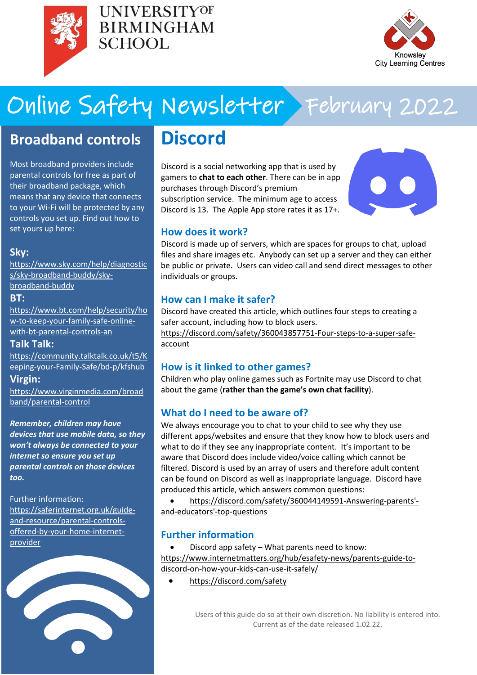

## **UNIVERSITYOF BIRMINGHAM SCHOOL**



# Online Safety Newsletter February 2022

## **Broadband controls**

Most broadband providers include parental controls for free as part of their broadband package, which means that any device that connects to your Wi-Fi will be protected by any controls you set up. Find out how to set yours up here:

### **Sky:**

[https://www.sky.com/help/diagnostic](https://www.sky.com/help/diagnostics/sky-broadband-buddy/sky-broadband-buddy) [s/sky-broadband-buddy/sky](https://www.sky.com/help/diagnostics/sky-broadband-buddy/sky-broadband-buddy)[broadband-buddy](https://www.sky.com/help/diagnostics/sky-broadband-buddy/sky-broadband-buddy)

### **BT:**

[https://www.bt.com/help/security/ho](https://www.bt.com/help/security/how-to-keep-your-family-safe-online-with-bt-parental-controls-an) [w-to-keep-your-family-safe-online](https://www.bt.com/help/security/how-to-keep-your-family-safe-online-with-bt-parental-controls-an)[with-bt-parental-controls-an](https://www.bt.com/help/security/how-to-keep-your-family-safe-online-with-bt-parental-controls-an)

### **Talk Talk:**

[https://community.talktalk.co.uk/t5/K](https://community.talktalk.co.uk/t5/Keeping-your-Family-Safe/bd-p/kfshub) [eeping-your-Family-Safe/bd-p/kfshub](https://community.talktalk.co.uk/t5/Keeping-your-Family-Safe/bd-p/kfshub)

### **Virgin:**

[https://www.virginmedia.com/broad](https://www.virginmedia.com/broadband/parental-control) [band/parental-control](https://www.virginmedia.com/broadband/parental-control)

*Remember, children may have devices that use mobile data, so they won't always be connected to your internet so ensure you set up parental controls on those devices too.*

Further information: [https://saferinternet.org.uk/guide](https://saferinternet.org.uk/guide-and-resource/parental-controls-offered-by-your-home-internet-provider)[and-resource/parental-controls](https://saferinternet.org.uk/guide-and-resource/parental-controls-offered-by-your-home-internet-provider)[offered-by-your-home-internet-](https://saferinternet.org.uk/guide-and-resource/parental-controls-offered-by-your-home-internet-provider)



## **Discord**

Discord is a social networking app that is used by gamers to **chat to each other**. There can be in app purchases through Discord's premium subscription service. The minimum age to access Discord is 13. The Apple App store rates it as 17+.



### **How does it work?**

Discord is made up of servers, which are spaces for groups to chat, upload files and share images etc. Anybody can set up a server and they can either be public or private. Users can video call and send direct messages to other individuals or groups.

### **How can I make it safer?**

Discord have created this article, which outlines four steps to creating a safer account, including how to block users.

[https://discord.com/safety/360043857751-Four-steps-to-a-super-safe](https://discord.com/safety/360043857751-Four-steps-to-a-super-safe-account)[account](https://discord.com/safety/360043857751-Four-steps-to-a-super-safe-account)

### **How is it linked to other games?**

Children who play online games such as Fortnite may use Discord to chat about the game (**rather than the game's own chat facility**).

### **What do I need to be aware of?**

We always encourage you to chat to your child to see why they use different apps/websites and ensure that they know how to block users and what to do if they see any inappropriate content. It's important to be aware that Discord does include video/voice calling which cannot be filtered. Discord is used by an array of users and therefore adult content can be found on Discord as well as inappropriate language. Discord have produced this article, which answers common questions:

• [https://discord.com/safety/360044149591-Answering-parents'](https://discord.com/safety/360044149591-Answering-parents) [and-educators'-top-questions](https://discord.com/safety/360044149591-Answering-parents) 

### **Further information**

• Discord app safety – What parents need to know: [https://www.internetmatters.org/hub/esafety-news/parents-guide-to](https://www.internetmatters.org/hub/esafety-news/parents-guide-to-discord-on-how-your-kids-can-use-it-safely/)[discord-on-how-your-kids-can-use-it-safely/](https://www.internetmatters.org/hub/esafety-news/parents-guide-to-discord-on-how-your-kids-can-use-it-safely/)

• <https://discord.com/safety>

Users of this guide do so at their own discretion. No liability is entered into. Current as of the date released 1.02.22.